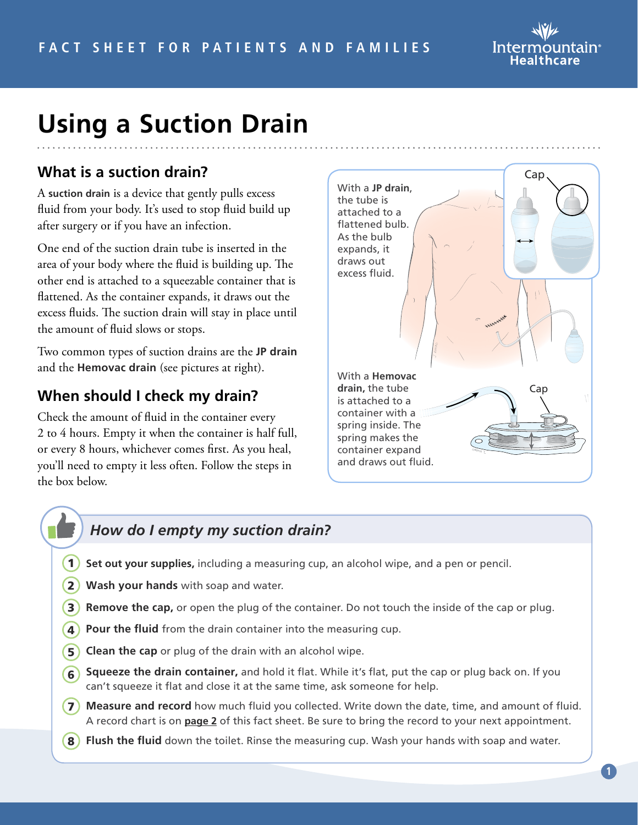

# **Using a Suction Drain**

# **What is a suction drain?**

A **suction drain** is a device that gently pulls excess fluid from your body. It's used to stop fluid build up after surgery or if you have an infection.

One end of the suction drain tube is inserted in the area of your body where the fluid is building up. The other end is attached to a squeezable container that is flattened. As the container expands, it draws out the excess fluids. The suction drain will stay in place until the amount of fluid slows or stops.

Two common types of suction drains are the **JP drain** and the **Hemovac drain** (see pictures at right).

### **When should I check my drain?**

Check the amount of fluid in the container every 2 to 4 hours. Empty it when the container is half full, or every 8 hours, whichever comes first. As you heal, you'll need to empty it less often. Follow the steps in the box below.



### *How do I empty my suction drain?*

- **Set out your supplies,** including a measuring cup, an alcohol wipe, and a pen or pencil.  $(1)$
- **Wash your hands** with soap and water. 2
- **3) Remove the cap,** or open the plug of the container. Do not touch the inside of the cap or plug.
- **4) Pour the fluid** from the drain container into the measuring cup.
- **5) Clean the cap** or plug of the drain with an alcohol wipe.
- **6** Squeeze the drain container, and hold it flat. While it's flat, put the cap or plug back on. If you can't squeeze it flat and close it at the same time, ask someone for help.
- **7) Measure and record** how much fluid you collected. Write down the date, time, and amount of fluid. A record chart is on **[page 2](#page-1-0)** of this fact sheet. Be sure to bring the record to your next appointment.
- **8) Flush the fluid** down the toilet. Rinse the measuring cup. Wash your hands with soap and water.